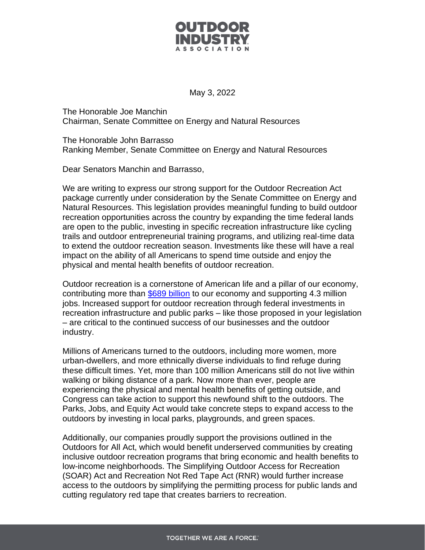

May 3, 2022

The Honorable Joe Manchin Chairman, Senate Committee on Energy and Natural Resources

The Honorable John Barrasso Ranking Member, Senate Committee on Energy and Natural Resources

Dear Senators Manchin and Barrasso,

We are writing to express our strong support for the Outdoor Recreation Act package currently under consideration by the Senate Committee on Energy and Natural Resources. This legislation provides meaningful funding to build outdoor recreation opportunities across the country by expanding the time federal lands are open to the public, investing in specific recreation infrastructure like cycling trails and outdoor entrepreneurial training programs, and utilizing real-time data to extend the outdoor recreation season. Investments like these will have a real impact on the ability of all Americans to spend time outside and enjoy the physical and mental health benefits of outdoor recreation.

Outdoor recreation is a cornerstone of American life and a pillar of our economy, contributing more than [\\$689 billion](https://www.bea.gov/data/special-topics/outdoor-recreation) to our economy and supporting 4.3 million jobs. Increased support for outdoor recreation through federal investments in recreation infrastructure and public parks – like those proposed in your legislation – are critical to the continued success of our businesses and the outdoor industry.

Millions of Americans turned to the outdoors, including more women, more urban-dwellers, and more ethnically diverse individuals to find refuge during these difficult times. Yet, more than 100 million Americans still do not live within walking or biking distance of a park. Now more than ever, people are experiencing the physical and mental health benefits of getting outside, and Congress can take action to support this newfound shift to the outdoors. The Parks, Jobs, and Equity Act would take concrete steps to expand access to the outdoors by investing in local parks, playgrounds, and green spaces.

Additionally, our companies proudly support the provisions outlined in the Outdoors for All Act, which would benefit underserved communities by creating inclusive outdoor recreation programs that bring economic and health benefits to low-income neighborhoods. The Simplifying Outdoor Access for Recreation (SOAR) Act and Recreation Not Red Tape Act (RNR) would further increase access to the outdoors by simplifying the permitting process for public lands and cutting regulatory red tape that creates barriers to recreation.